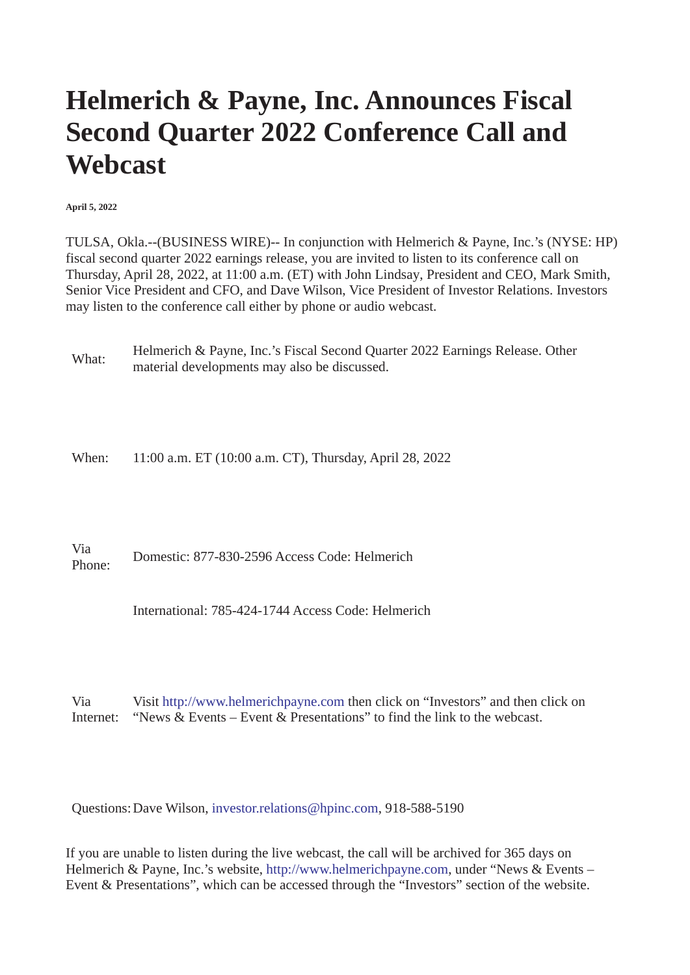## **Helmerich & Payne, Inc. Announces Fiscal Second Quarter 2022 Conference Call and Webcast**

**April 5, 2022**

TULSA, Okla.--(BUSINESS WIRE)-- In conjunction with Helmerich & Payne, Inc.'s (NYSE: HP) fiscal second quarter 2022 earnings release, you are invited to listen to its conference call on Thursday, April 28, 2022, at 11:00 a.m. (ET) with John Lindsay, President and CEO, Mark Smith, Senior Vice President and CFO, and Dave Wilson, Vice President of Investor Relations. Investors may listen to the conference call either by phone or audio webcast.

What: Helmerich & Payne, Inc.'s Fiscal Second Quarter 2022 Earnings Release. Other material developments may also be discussed.

When: 11:00 a.m. ET (10:00 a.m. CT), Thursday, April 28, 2022

Via Phone: Domestic: 877-830-2596 Access Code: Helmerich

International: 785-424-1744 Access Code: Helmerich

Via Internet: Visit [http://www.helmerichpayne.com](https://cts.businesswire.com/ct/CT?id=smartlink&url=http%3A%2F%2Fwww.helmerichpayne.com&esheet=52651948&newsitemid=20220405005969&lan=en-US&anchor=http%3A%2F%2Fwww.helmerichpayne.com&index=1&md5=53c42be2812f9b975ca18c797f89e8c8) then click on "Investors" and then click on "News & Events – Event & Presentations" to find the link to the webcast.

Questions:Dave Wilson, [investor.relations@hpinc.com,](mailto:investor.relations@hpinc.com) 918-588-5190

If you are unable to listen during the live webcast, the call will be archived for 365 days on Helmerich & Payne, Inc.'s website, [http://www.helmerichpayne.com](https://cts.businesswire.com/ct/CT?id=smartlink&url=http%3A%2F%2Fwww.helmerichpayne.com&esheet=52651948&newsitemid=20220405005969&lan=en-US&anchor=http%3A%2F%2Fwww.helmerichpayne.com&index=2&md5=aa27bc33ed4ca0192ea50ab9f6f74f5b), under "News & Events – Event & Presentations", which can be accessed through the "Investors" section of the website.